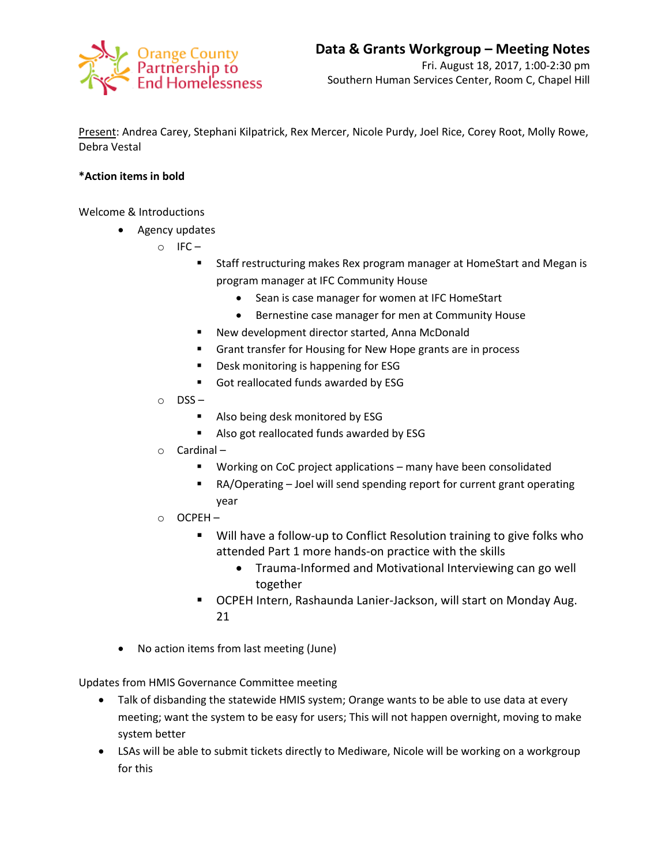

Present: Andrea Carey, Stephani Kilpatrick, Rex Mercer, Nicole Purdy, Joel Rice, Corey Root, Molly Rowe, Debra Vestal

## **\*Action items in bold**

Welcome & Introductions

- Agency updates
	- $\circ$  IFC
		- Staff restructuring makes Rex program manager at HomeStart and Megan is program manager at IFC Community House
			- Sean is case manager for women at IFC HomeStart
			- Bernestine case manager for men at Community House
		- New development director started, Anna McDonald
		- Grant transfer for Housing for New Hope grants are in process
		- **P** Desk monitoring is happening for ESG
		- Got reallocated funds awarded by ESG
	- o DSS
		- Also being desk monitored by ESG
		- Also got reallocated funds awarded by ESG
	- o Cardinal
		- **Working on CoC project applications many have been consolidated**
		- RA/Operating Joel will send spending report for current grant operating year
	- o OCPEH
		- Will have a follow-up to Conflict Resolution training to give folks who attended Part 1 more hands-on practice with the skills
			- Trauma-Informed and Motivational Interviewing can go well together
		- OCPEH Intern, Rashaunda Lanier-Jackson, will start on Monday Aug. 21
- No action items from last meeting (June)

Updates from HMIS Governance Committee meeting

- Talk of disbanding the statewide HMIS system; Orange wants to be able to use data at every meeting; want the system to be easy for users; This will not happen overnight, moving to make system better
- LSAs will be able to submit tickets directly to Mediware, Nicole will be working on a workgroup for this